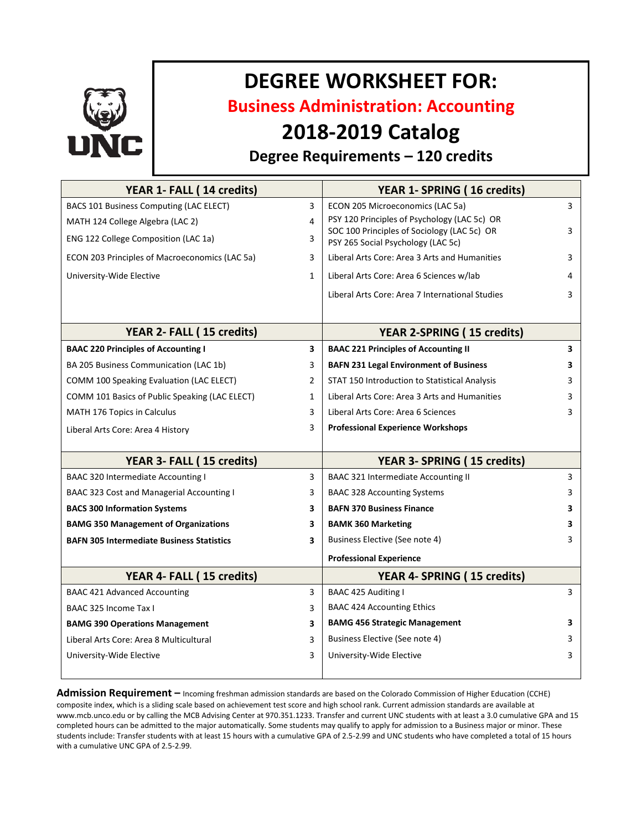

# **DEGREE WORKSHEET FOR:**

**Business Administration: Accounting**

## **2018-2019 Catalog**

### **Degree Requirements – 120 credits**

| YEAR 1- FALL (14 credits)                        |                | YEAR 1- SPRING (16 credits)                                                       |   |
|--------------------------------------------------|----------------|-----------------------------------------------------------------------------------|---|
| BACS 101 Business Computing (LAC ELECT)          | 3              | ECON 205 Microeconomics (LAC 5a)                                                  | 3 |
| MATH 124 College Algebra (LAC 2)                 | 4              | PSY 120 Principles of Psychology (LAC 5c) OR                                      |   |
| ENG 122 College Composition (LAC 1a)             | 3              | SOC 100 Principles of Sociology (LAC 5c) OR<br>PSY 265 Social Psychology (LAC 5c) | 3 |
| ECON 203 Principles of Macroeconomics (LAC 5a)   | 3              | Liberal Arts Core: Area 3 Arts and Humanities                                     | 3 |
| University-Wide Elective                         | $\mathbf{1}$   | Liberal Arts Core: Area 6 Sciences w/lab                                          | 4 |
|                                                  |                | Liberal Arts Core: Area 7 International Studies                                   | 3 |
| YEAR 2- FALL (15 credits)                        |                | <b>YEAR 2-SPRING (15 credits)</b>                                                 |   |
| <b>BAAC 220 Principles of Accounting I</b>       | 3              | <b>BAAC 221 Principles of Accounting II</b>                                       | 3 |
| BA 205 Business Communication (LAC 1b)           | 3              | <b>BAFN 231 Legal Environment of Business</b>                                     | 3 |
| COMM 100 Speaking Evaluation (LAC ELECT)         | $\overline{2}$ | STAT 150 Introduction to Statistical Analysis                                     | 3 |
| COMM 101 Basics of Public Speaking (LAC ELECT)   | 1              | Liberal Arts Core: Area 3 Arts and Humanities                                     | 3 |
| <b>MATH 176 Topics in Calculus</b>               | 3              | Liberal Arts Core: Area 6 Sciences                                                | 3 |
| Liberal Arts Core: Area 4 History                | 3              | <b>Professional Experience Workshops</b>                                          |   |
| YEAR 3- FALL (15 credits)                        |                | YEAR 3- SPRING (15 credits)                                                       |   |
| <b>BAAC 320 Intermediate Accounting I</b>        | 3              | <b>BAAC 321 Intermediate Accounting II</b>                                        | 3 |
| BAAC 323 Cost and Managerial Accounting I        | 3              | <b>BAAC 328 Accounting Systems</b>                                                | 3 |
| <b>BACS 300 Information Systems</b>              | 3              | <b>BAFN 370 Business Finance</b>                                                  | 3 |
| <b>BAMG 350 Management of Organizations</b>      | 3              | <b>BAMK 360 Marketing</b>                                                         | 3 |
| <b>BAFN 305 Intermediate Business Statistics</b> | 3              | Business Elective (See note 4)                                                    | 3 |
|                                                  |                | <b>Professional Experience</b>                                                    |   |
| YEAR 4- FALL (15 credits)                        |                | YEAR 4- SPRING (15 credits)                                                       |   |
| <b>BAAC 421 Advanced Accounting</b>              | 3              | BAAC 425 Auditing I                                                               | 3 |
| BAAC 325 Income Tax I                            | 3              | <b>BAAC 424 Accounting Ethics</b>                                                 |   |
| <b>BAMG 390 Operations Management</b>            | 3              | <b>BAMG 456 Strategic Management</b>                                              | 3 |
| Liberal Arts Core: Area 8 Multicultural          | 3              | Business Elective (See note 4)                                                    | 3 |
| University-Wide Elective                         | 3              | University-Wide Elective                                                          | 3 |
|                                                  |                |                                                                                   |   |

**Admission Requirement –** Incoming freshman admission standards are based on the Colorado Commission of Higher Education (CCHE) composite index, which is a sliding scale based on achievement test score and high school rank. Current admission standards are available at www.mcb.unco.edu or by calling the MCB Advising Center at 970.351.1233. Transfer and current UNC students with at least a 3.0 cumulative GPA and 15 completed hours can be admitted to the major automatically. Some students may qualify to apply for admission to a Business major or minor. These students include: Transfer students with at least 15 hours with a cumulative GPA of 2.5-2.99 and UNC students who have completed a total of 15 hours with a cumulative UNC GPA of 2.5-2.99.